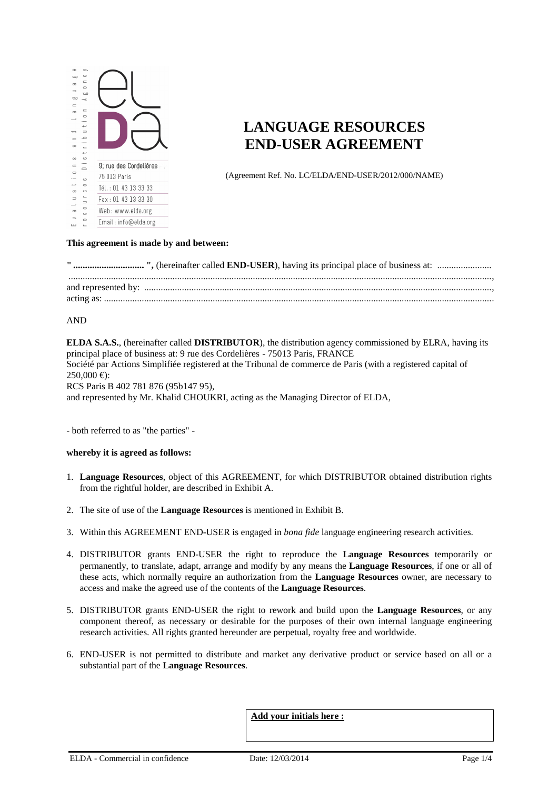

# **LANGUAGE RESOURCES END-USER AGREEMENT**

(Agreement Ref. No. LC/ELDA/END-USER/2012/000/NAME)

#### **This agreement is made by and between:**

#### AND

**ELDA S.A.S.**, (hereinafter called **DISTRIBUTOR**), the distribution agency commissioned by ELRA, having its principal place of business at: 9 rue des Cordelières - 75013 Paris, FRANCE Société par Actions Simplifiée registered at the Tribunal de commerce de Paris (with a registered capital of  $250,000 \in$ : RCS Paris B 402 781 876 (95b147 95),

and represented by Mr. Khalid CHOUKRI, acting as the Managing Director of ELDA,

- both referred to as "the parties" -

#### **whereby it is agreed as follows:**

- 1. **Language Resources**, object of this AGREEMENT, for which DISTRIBUTOR obtained distribution rights from the rightful holder, are described in Exhibit A.
- 2. The site of use of the **Language Resources** is mentioned in Exhibit B.
- 3. Within this AGREEMENT END-USER is engaged in *bona fide* language engineering research activities.
- 4. DISTRIBUTOR grants END-USER the right to reproduce the **Language Resources** temporarily or permanently, to translate, adapt, arrange and modify by any means the **Language Resources**, if one or all of these acts, which normally require an authorization from the **Language Resources** owner, are necessary to access and make the agreed use of the contents of the **Language Resources**.
- 5. DISTRIBUTOR grants END-USER the right to rework and build upon the **Language Resources**, or any component thereof, as necessary or desirable for the purposes of their own internal language engineering research activities. All rights granted hereunder are perpetual, royalty free and worldwide.
- 6. END-USER is not permitted to distribute and market any derivative product or service based on all or a substantial part of the **Language Resources**.

**Add your initials here :**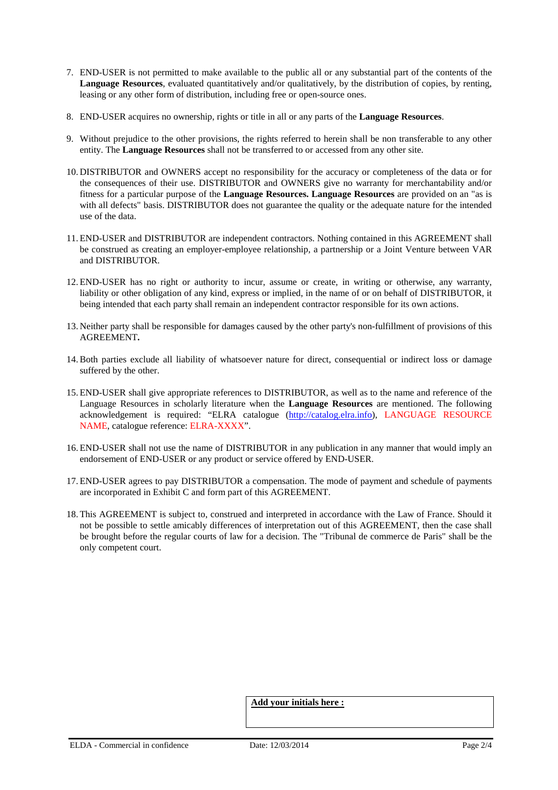- 7. END-USER is not permitted to make available to the public all or any substantial part of the contents of the **Language Resources**, evaluated quantitatively and/or qualitatively, by the distribution of copies, by renting, leasing or any other form of distribution, including free or open-source ones.
- 8. END-USER acquires no ownership, rights or title in all or any parts of the **Language Resources**.
- 9. Without prejudice to the other provisions, the rights referred to herein shall be non transferable to any other entity. The **Language Resources** shall not be transferred to or accessed from any other site.
- 10. DISTRIBUTOR and OWNERS accept no responsibility for the accuracy or completeness of the data or for the consequences of their use. DISTRIBUTOR and OWNERS give no warranty for merchantability and/or fitness for a particular purpose of the **Language Resources. Language Resources** are provided on an "as is with all defects" basis. DISTRIBUTOR does not guarantee the quality or the adequate nature for the intended use of the data.
- 11. END-USER and DISTRIBUTOR are independent contractors. Nothing contained in this AGREEMENT shall be construed as creating an employer-employee relationship, a partnership or a Joint Venture between VAR and DISTRIBUTOR.
- 12. END-USER has no right or authority to incur, assume or create, in writing or otherwise, any warranty, liability or other obligation of any kind, express or implied, in the name of or on behalf of DISTRIBUTOR, it being intended that each party shall remain an independent contractor responsible for its own actions.
- 13. Neither party shall be responsible for damages caused by the other party's non-fulfillment of provisions of this AGREEMENT**.**
- 14.Both parties exclude all liability of whatsoever nature for direct, consequential or indirect loss or damage suffered by the other.
- 15. END-USER shall give appropriate references to DISTRIBUTOR, as well as to the name and reference of the Language Resources in scholarly literature when the **Language Resources** are mentioned. The following acknowledgement is required: "ELRA catalogue (http://catalog.elra.info), LANGUAGE RESOURCE NAME, catalogue reference: ELRA-XXXX".
- 16. END-USER shall not use the name of DISTRIBUTOR in any publication in any manner that would imply an endorsement of END-USER or any product or service offered by END-USER.
- 17. END-USER agrees to pay DISTRIBUTOR a compensation. The mode of payment and schedule of payments are incorporated in Exhibit C and form part of this AGREEMENT.
- 18. This AGREEMENT is subject to, construed and interpreted in accordance with the Law of France. Should it not be possible to settle amicably differences of interpretation out of this AGREEMENT, then the case shall be brought before the regular courts of law for a decision. The "Tribunal de commerce de Paris" shall be the only competent court.

**Add your initials here :**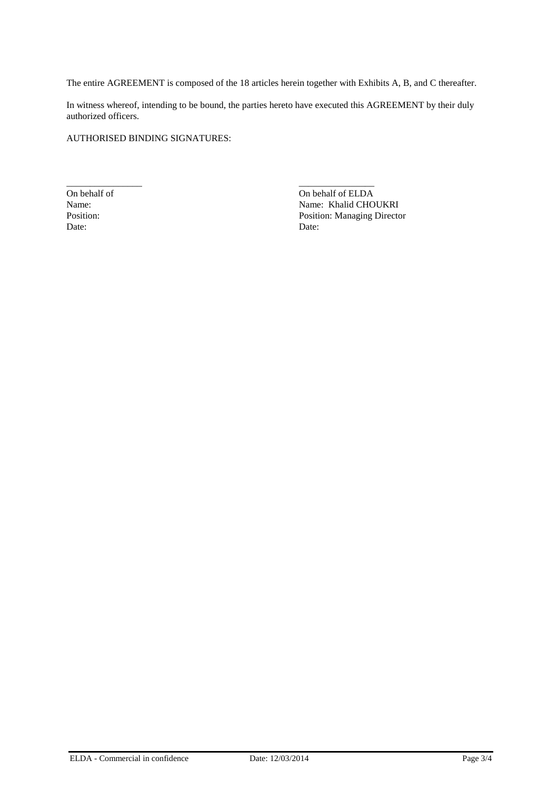The entire AGREEMENT is composed of the 18 articles herein together with Exhibits A, B, and C thereafter.

In witness whereof, intending to be bound, the parties hereto have executed this AGREEMENT by their duly authorized officers.

AUTHORISED BINDING SIGNATURES:

Date: Date:

\_\_\_\_\_\_\_\_\_\_\_\_\_\_\_\_ \_\_\_\_\_\_\_\_\_\_\_\_\_\_\_\_ On behalf of CLDA<br>
Name: Name: Khalid CHO Name: Name: Khalid CHOUKRI<br>Position: Position: Position: Nanaging Directo Position: Managing Director